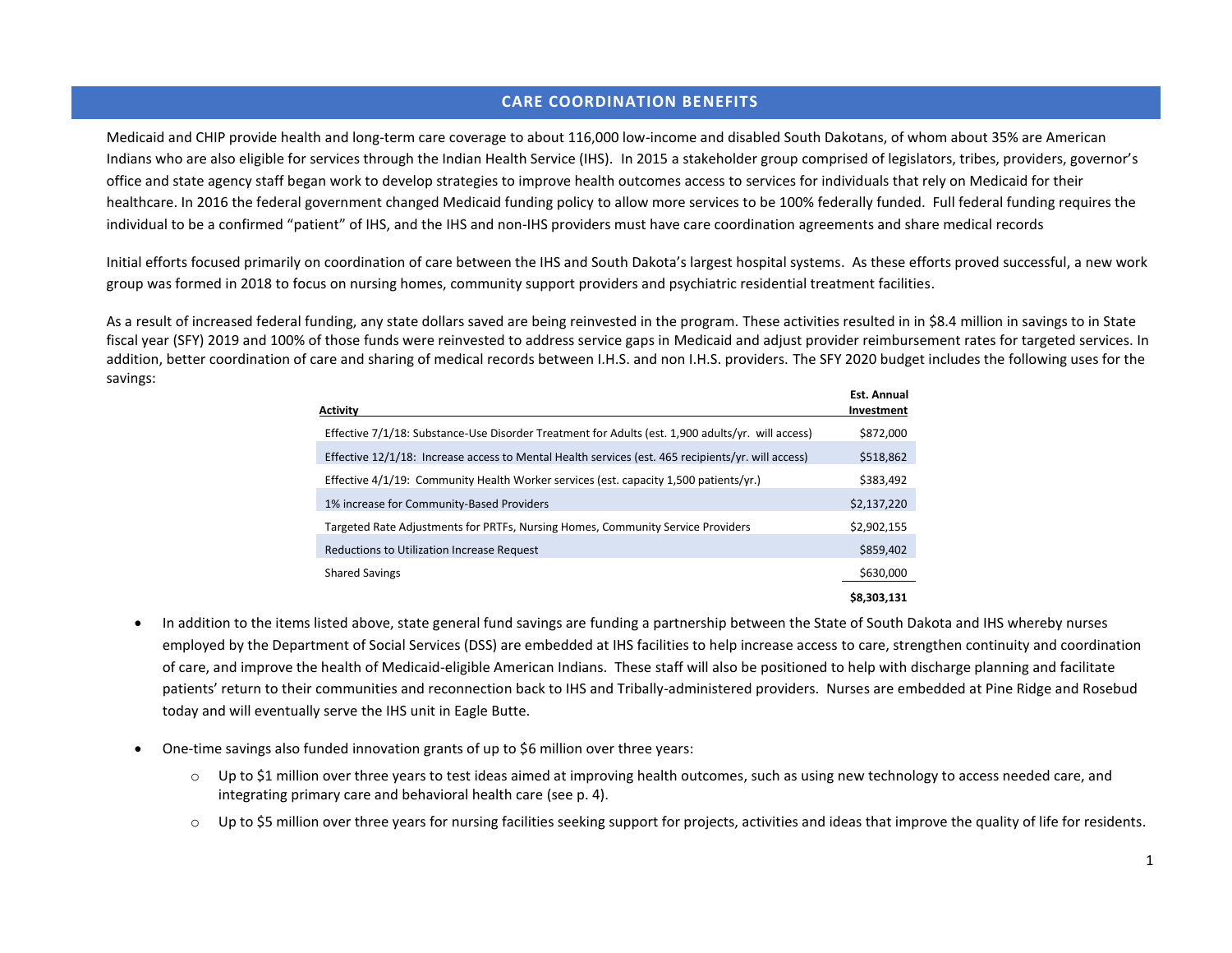# **CARE COORDINATION BENEFITS**

Medicaid and CHIP provide health and long-term care coverage to about 116,000 low-income and disabled South Dakotans, of whom about 35% are American Indians who are also eligible for services through the Indian Health Service (IHS). In 2015 a stakeholder group comprised of legislators, tribes, providers, governor's office and state agency staff began work to develop strategies to improve health outcomes access to services for individuals that rely on Medicaid for their healthcare. In 2016 the federal government changed Medicaid funding policy to allow more services to be 100% federally funded. Full federal funding requires the individual to be a confirmed "patient" of IHS, and the IHS and non-IHS providers must have care coordination agreements and share medical records

Initial efforts focused primarily on coordination of care between the IHS and South Dakota's largest hospital systems. As these efforts proved successful, a new work group was formed in 2018 to focus on nursing homes, community support providers and psychiatric residential treatment facilities.

As a result of increased federal funding, any state dollars saved are being reinvested in the program. These activities resulted in in \$8.4 million in savings to in State fiscal year (SFY) 2019 and 100% of those funds were reinvested to address service gaps in Medicaid and adjust provider reimbursement rates for targeted services. In addition, better coordination of care and sharing of medical records between I.H.S. and non I.H.S. providers. The SFY 2020 budget includes the following uses for the savings:

| <b>Activity</b>                                                                                    | Est. Annual<br>Investment |
|----------------------------------------------------------------------------------------------------|---------------------------|
| Effective 7/1/18: Substance-Use Disorder Treatment for Adults (est. 1,900 adults/yr. will access)  | \$872,000                 |
| Effective 12/1/18: Increase access to Mental Health services (est. 465 recipients/yr. will access) | \$518,862                 |
| Effective 4/1/19: Community Health Worker services (est. capacity 1,500 patients/yr.)              | \$383,492                 |
| 1% increase for Community-Based Providers                                                          | \$2,137,220               |
| Targeted Rate Adjustments for PRTFs, Nursing Homes, Community Service Providers                    | \$2,902,155               |
| Reductions to Utilization Increase Request                                                         | \$859,402                 |
| <b>Shared Savings</b>                                                                              | \$630,000                 |
|                                                                                                    | \$8,303,131               |

- In addition to the items listed above, state general fund savings are funding a partnership between the State of South Dakota and IHS whereby nurses employed by the Department of Social Services (DSS) are embedded at IHS facilities to help increase access to care, strengthen continuity and coordination of care, and improve the health of Medicaid-eligible American Indians. These staff will also be positioned to help with discharge planning and facilitate patients' return to their communities and reconnection back to IHS and Tribally-administered providers. Nurses are embedded at Pine Ridge and Rosebud today and will eventually serve the IHS unit in Eagle Butte.
- One-time savings also funded innovation grants of up to \$6 million over three years:
	- o Up to \$1 million over three years to test ideas aimed at improving health outcomes, such as using new technology to access needed care, and integrating primary care and behavioral health care (see p. 4).
	- $\circ$  Up to \$5 million over three years for nursing facilities seeking support for projects, activities and ideas that improve the quality of life for residents.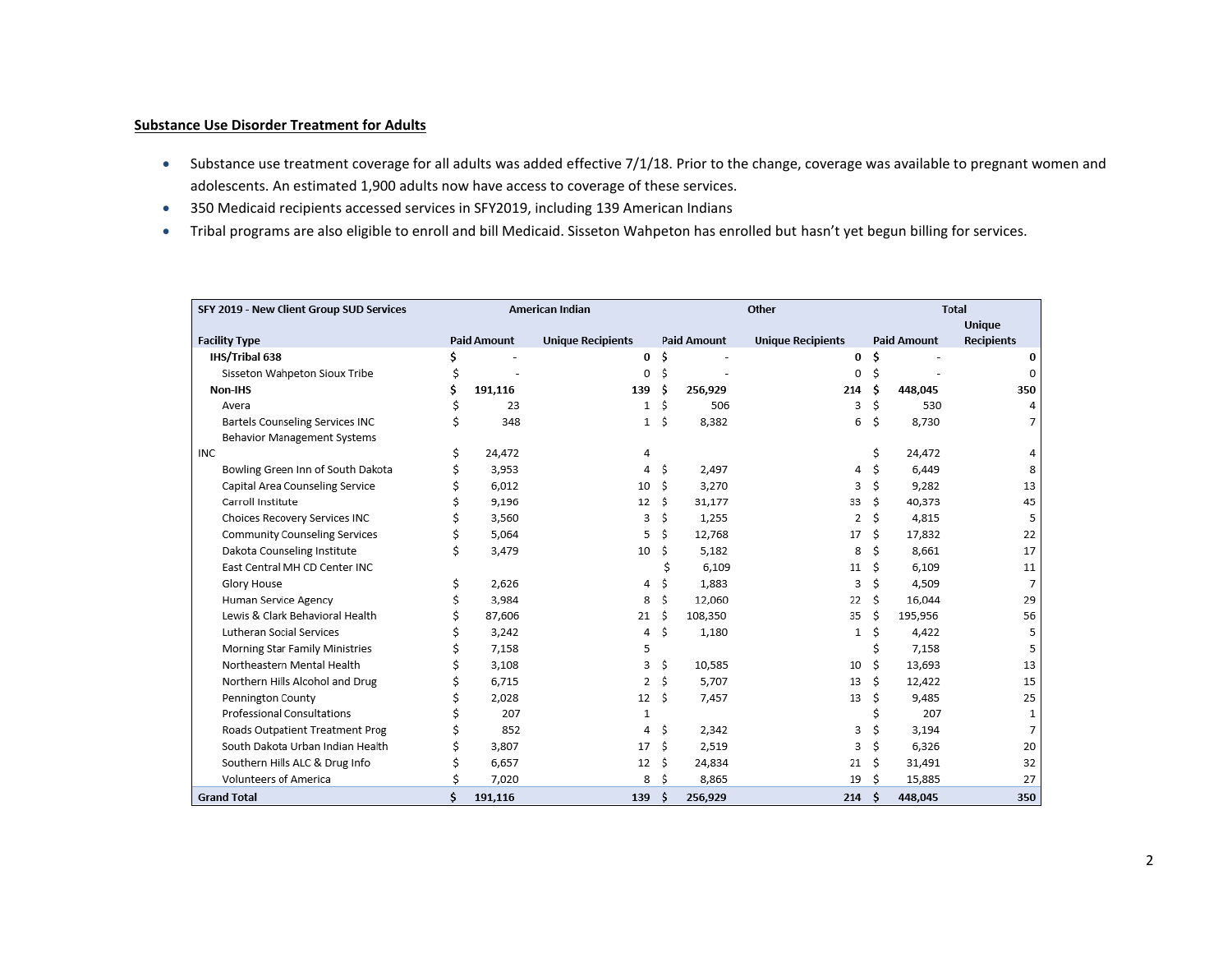# **Substance Use Disorder Treatment for Adults**

- Substance use treatment coverage for all adults was added effective 7/1/18. Prior to the change, coverage was available to pregnant women and adolescents. An estimated 1,900 adults now have access to coverage of these services.
- 350 Medicaid recipients accessed services in SFY2019, including 139 American Indians
- Tribal programs are also eligible to enroll and bill Medicaid. Sisseton Wahpeton has enrolled but hasn't yet begun billing for services.

| SFY 2019 - New Client Group SUD Services | American Indian    |         |                                                | Other |                          | <b>Total</b> |                    | Unique            |                |
|------------------------------------------|--------------------|---------|------------------------------------------------|-------|--------------------------|--------------|--------------------|-------------------|----------------|
| <b>Facility Type</b>                     | <b>Paid Amount</b> |         | <b>Unique Recipients</b><br><b>Paid Amount</b> |       | <b>Unique Recipients</b> |              | <b>Paid Amount</b> | <b>Recipients</b> |                |
| IHS/Tribal 638                           |                    |         | 0                                              | Ŝ     |                          | 0            | Ŝ                  |                   | 0              |
| Sisseton Wahpeton Sioux Tribe            |                    |         | 0                                              |       |                          | 0            |                    |                   | $\Omega$       |
| Non-IHS                                  |                    | 191,116 | 139                                            | Ŝ     | 256,929                  | 214          | Ś                  | 448,045           | 350            |
| Avera                                    |                    | 23      | 1                                              | Ś     | 506                      | 3            | Ś                  | 530               | 4              |
| Bartels Counseling Services INC          |                    | 348     | 1                                              | Ś     | 8,382                    | 6            | Ś                  | 8,730             | 7              |
| Behavior Management Systems              |                    |         |                                                |       |                          |              |                    |                   |                |
| <b>INC</b>                               |                    | 24,472  | 4                                              |       |                          |              | Ś                  | 24,472            | 4              |
| Bowling Green Inn of South Dakota        |                    | 3,953   | 4                                              | Ś     | 2,497                    | 4            | Ś                  | 6,449             | 8              |
| Capital Area Counseling Service          |                    | 6,012   | 10                                             | Ś     | 3,270                    | 3            | Ś                  | 9,282             | 13             |
| Carroll Institute                        |                    | 9,196   | 12                                             | Ś     | 31,177                   | 33           | Ś                  | 40,373            | 45             |
| Choices Recovery Services INC            |                    | 3,560   | 3                                              | Ś     | 1,255                    | 2            | Ś                  | 4,815             | 5              |
| Community Counseling Services            |                    | 5,064   | 5                                              | Ś     | 12,768                   | 17           | Ś                  | 17,832            | 22             |
| Dakota Counseling Institute              |                    | 3,479   | 10                                             | Ŝ     | 5,182                    | 8            | Ŝ                  | 8,661             | 17             |
| East Central MH CD Center INC            |                    |         |                                                |       | 6,109                    | 11           | Ŝ                  | 6,109             | 11             |
| Glory House                              |                    | 2,626   | 4                                              | S     | 1,883                    | 3            | Ś                  | 4,509             | $\overline{7}$ |
| Human Service Agency                     |                    | 3,984   | 8                                              | Ŝ     | 12,060                   | 22           | Ŝ                  | 16.044            | 29             |
| Lewis & Clark Behavioral Health          |                    | 87,606  | 21                                             | Ś     | 108,350                  | 35           | Ŝ                  | 195,956           | 56             |
| Lutheran Social Services                 |                    | 3,242   | 4                                              | Ś     | 1,180                    | 1            | Ŝ                  | 4,422             | 5              |
| Morning Star Family Ministries           |                    | 7,158   | 5                                              |       |                          |              |                    | 7,158             | 5              |
| Northeastern Mental Health               |                    | 3,108   | 3                                              | Ś     | 10,585                   | 10           | Ś                  | 13,693            | 13             |
| Northern Hills Alcohol and Drug          |                    | 6,715   | 2                                              | S     | 5,707                    | 13           | S                  | 12,422            | 15             |
| Pennington County                        |                    | 2,028   | 12                                             | Ŝ     | 7,457                    | 13           | S                  | 9,485             | 25             |
| Professional Consultations               |                    | 207     | 1                                              |       |                          |              |                    | 207               | 1              |
| Roads Outpatient Treatment Prog          |                    | 852     | 4                                              | Ŝ     | 2,342                    | 3            |                    | 3,194             | 7              |
| South Dakota Urban Indian Health         |                    | 3,807   | 17                                             | Ś     | 2,519                    | 3            | Ś                  | 6,326             | 20             |
| Southern Hills ALC & Drug Info           |                    | 6,657   | 12                                             | Ŝ     | 24,834                   | 21           | Ŝ                  | 31,491            | 32             |
| Volunteers of America                    |                    | 7,020   | 8                                              | Ś     | 8,865                    | 19           | Ŝ                  | 15,885            | 27             |
| <b>Grand Total</b>                       | Ś                  | 191,116 | 139                                            | Ŝ     | 256,929                  | 214          | S                  | 448,045           | 350            |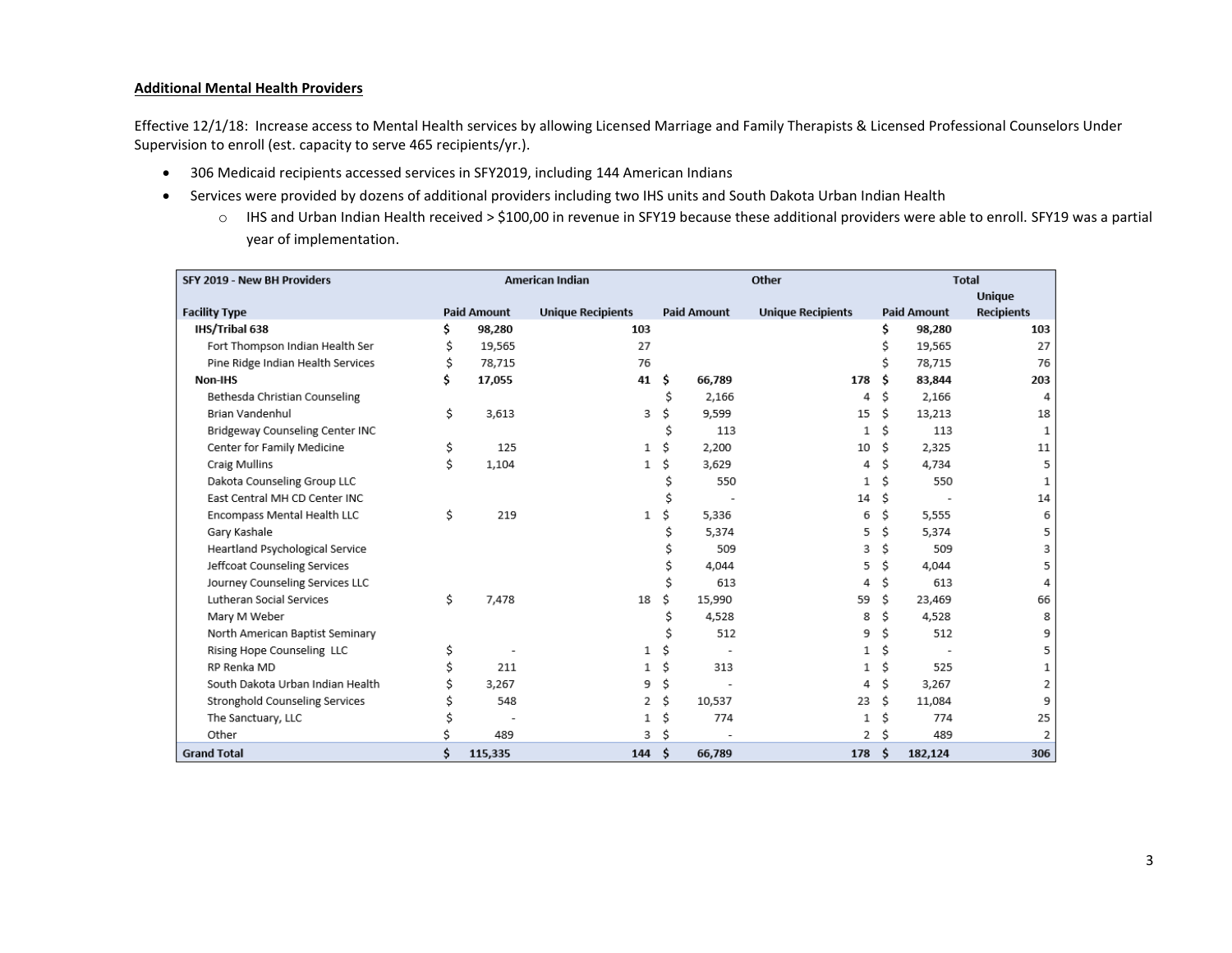#### **Additional Mental Health Providers**

Effective 12/1/18: Increase access to Mental Health services by allowing Licensed Marriage and Family Therapists & Licensed Professional Counselors Under Supervision to enroll (est. capacity to serve 465 recipients/yr.).

- 306 Medicaid recipients accessed services in SFY2019, including 144 American Indians
- Services were provided by dozens of additional providers including two IHS units and South Dakota Urban Indian Health
	- o IHS and Urban Indian Health received > \$100,00 in revenue in SFY19 because these additional providers were able to enroll. SFY19 was a partial year of implementation.

| SFY 2019 - New BH Providers       |    |                    | American Indian          | Other |                    | <b>Total</b>             |    |                    |                   |
|-----------------------------------|----|--------------------|--------------------------|-------|--------------------|--------------------------|----|--------------------|-------------------|
|                                   |    |                    |                          |       |                    |                          |    | Unique             |                   |
| <b>Facility Type</b>              |    | <b>Paid Amount</b> | <b>Unique Recipients</b> |       | <b>Paid Amount</b> | <b>Unique Recipients</b> |    | <b>Paid Amount</b> | <b>Recipients</b> |
| IHS/Tribal 638                    |    | 98,280             | 103                      |       |                    |                          | \$ | 98,280             | 103               |
| Fort Thompson Indian Health Ser   |    | 19,565             | 27                       |       |                    |                          |    | 19,565             | 27                |
| Pine Ridge Indian Health Services |    | 78,715             | 76                       |       |                    |                          |    | 78,715             | 76                |
| <b>Non-IHS</b>                    |    | 17,055             | 41                       | Ŝ     | 66,789             | 178                      | Ŝ  | 83,844             | 203               |
| Bethesda Christian Counseling     |    |                    |                          |       | 2,166              | 4                        | Ś  | 2,166              |                   |
| Brian Vandenhul                   | \$ | 3,613              | 3                        |       | 9,599              | 15                       | Ŝ  | 13,213             | 18                |
| Bridgeway Counseling Center INC   |    |                    |                          |       | 113                | 1                        | Ś  | 113                | 1                 |
| Center for Family Medicine        |    | 125                |                          | Ś     | 2,200              | 10                       | Ś  | 2,325              | 11                |
| Craig Mullins                     | \$ | 1,104              | 1                        | Ś     | 3,629              | 4                        | Ś  | 4,734              | 5                 |
| Dakota Counseling Group LLC       |    |                    |                          |       | 550                | 1                        | Ś  | 550                |                   |
| East Central MH CD Center INC     |    |                    |                          |       |                    | 14                       | Ŝ  |                    | 14                |
| Encompass Mental Health LLC       | \$ | 219                | 1                        | Ś     | 5,336              | 6                        | Ś  | 5,555              | 6                 |
| Gary Kashale                      |    |                    |                          |       | 5,374              | 5                        | Ś  | 5,374              | 5                 |
| Heartland Psychological Service   |    |                    |                          |       | 509                | 3                        | Ś  | 509                | 3                 |
| Jeffcoat Counseling Services      |    |                    |                          |       | 4,044              | 5                        | Ś  | 4,044              |                   |
| Journey Counseling Services LLC   |    |                    |                          |       | 613                | 4                        | Ś  | 613                |                   |
| Lutheran Social Services          | \$ | 7,478              | 18                       | Ś     | 15,990             | 59                       | Ś  | 23,469             | 66                |
| Mary M Weber                      |    |                    |                          |       | 4,528              | 8                        | Ś  | 4,528              | 8                 |
| North American Baptist Seminary   |    |                    |                          |       | 512                | 9                        | Ś  | 512                | 9                 |
| Rising Hope Counseling LLC        |    |                    |                          | Ś     |                    |                          | Ś  |                    | 5                 |
| RP Renka MD                       |    | 211                |                          |       | 313                |                          | Ś  | 525                |                   |
| South Dakota Urban Indian Health  |    | 3,267              | 9                        | Ś     |                    | 4                        | Ś  | 3,267              |                   |
| Stronghold Counseling Services    |    | 548                | 2                        | Ś     | 10,537             | 23                       | Ś  | 11,084             | 9                 |
| The Sanctuary, LLC                |    |                    |                          | Ś     | 774                | 1                        | Ś  | 774                | 25                |
| Other                             |    | 489                | 3                        | Ś     |                    | 2                        | Ś  | 489                |                   |
| <b>Grand Total</b>                | Ś  | 115,335            | 144                      | Ŝ     | 66,789             | 178                      | Ŝ  | 182,124            | 306               |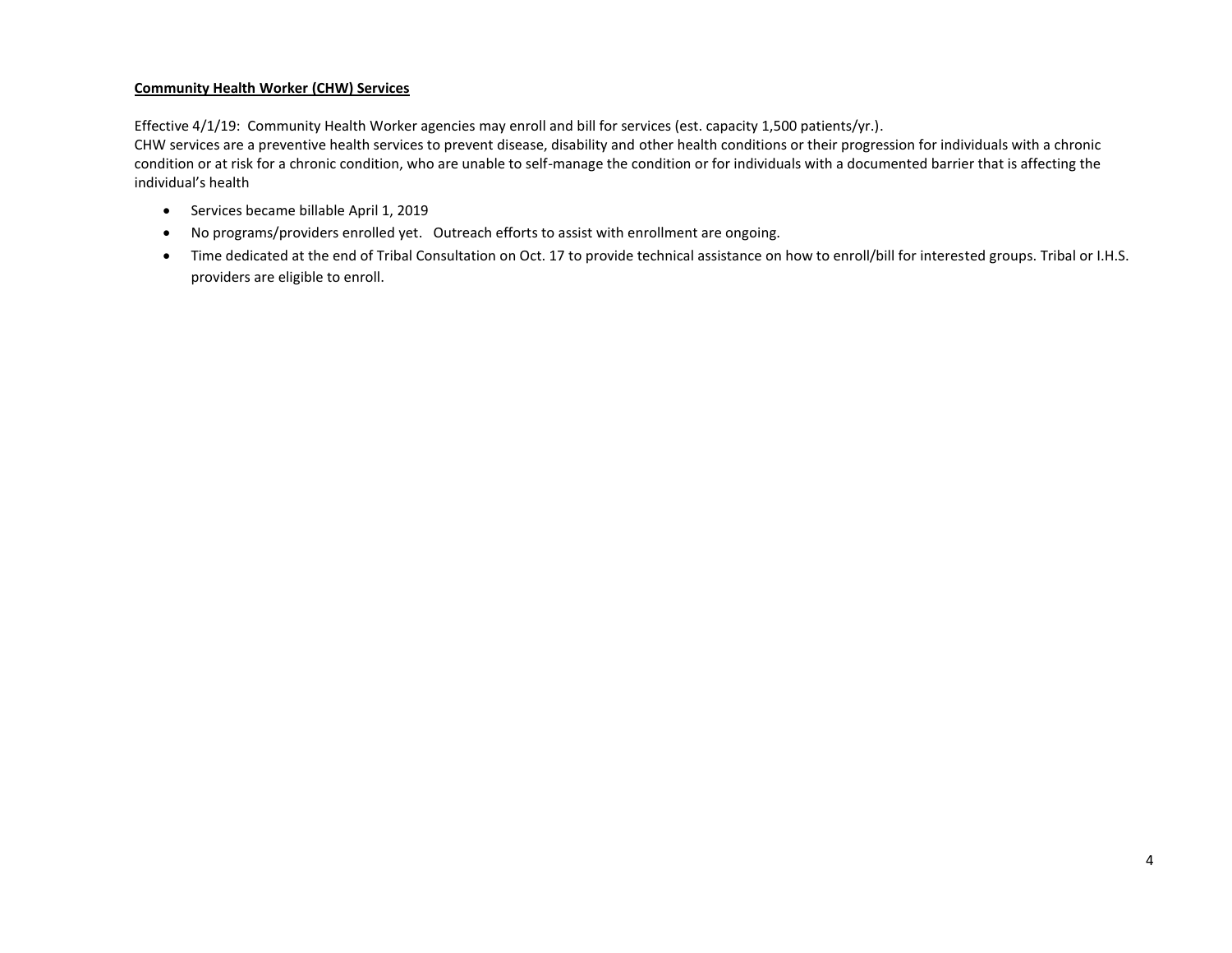### **Community Health Worker (CHW) Services**

Effective 4/1/19: Community Health Worker agencies may enroll and bill for services (est. capacity 1,500 patients/yr.).

CHW services are a preventive health services to prevent disease, disability and other health conditions or their progression for individuals with a chronic condition or at risk for a chronic condition, who are unable to self-manage the condition or for individuals with a documented barrier that is affecting the individual's health

- Services became billable April 1, 2019
- No programs/providers enrolled yet. Outreach efforts to assist with enrollment are ongoing.
- Time dedicated at the end of Tribal Consultation on Oct. 17 to provide technical assistance on how to enroll/bill for interested groups. Tribal or I.H.S. providers are eligible to enroll.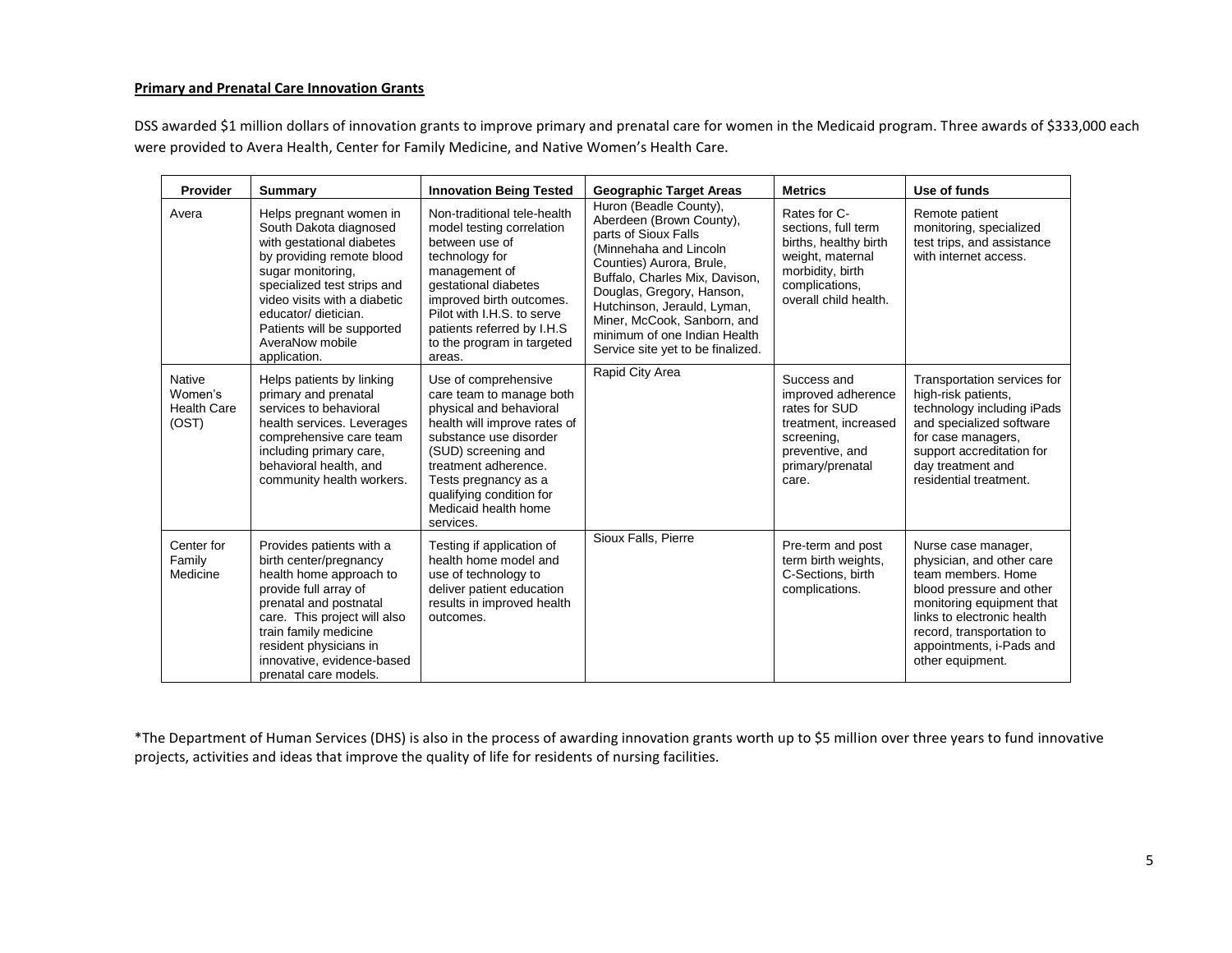### **Primary and Prenatal Care Innovation Grants**

DSS awarded \$1 million dollars of innovation grants to improve primary and prenatal care for women in the Medicaid program. Three awards of \$333,000 each were provided to Avera Health, Center for Family Medicine, and Native Women's Health Care.

| Provider                                                | Summary                                                                                                                                                                                                                                                                                  | <b>Innovation Being Tested</b>                                                                                                                                                                                                                                                | <b>Geographic Target Areas</b>                                                                                                                                                                                                                                                                                                      | <b>Metrics</b>                                                                                                                                  | Use of funds                                                                                                                                                                                                                               |
|---------------------------------------------------------|------------------------------------------------------------------------------------------------------------------------------------------------------------------------------------------------------------------------------------------------------------------------------------------|-------------------------------------------------------------------------------------------------------------------------------------------------------------------------------------------------------------------------------------------------------------------------------|-------------------------------------------------------------------------------------------------------------------------------------------------------------------------------------------------------------------------------------------------------------------------------------------------------------------------------------|-------------------------------------------------------------------------------------------------------------------------------------------------|--------------------------------------------------------------------------------------------------------------------------------------------------------------------------------------------------------------------------------------------|
| Avera                                                   | Helps pregnant women in<br>South Dakota diagnosed<br>with gestational diabetes<br>by providing remote blood<br>sugar monitoring,<br>specialized test strips and<br>video visits with a diabetic<br>educator/ dietician.<br>Patients will be supported<br>AveraNow mobile<br>application. | Non-traditional tele-health<br>model testing correlation<br>between use of<br>technology for<br>management of<br>gestational diabetes<br>improved birth outcomes.<br>Pilot with I.H.S. to serve<br>patients referred by I.H.S<br>to the program in targeted<br>areas.         | Huron (Beadle County),<br>Aberdeen (Brown County),<br>parts of Sioux Falls<br>(Minnehaha and Lincoln)<br>Counties) Aurora, Brule,<br>Buffalo, Charles Mix, Davison,<br>Douglas, Gregory, Hanson,<br>Hutchinson, Jerauld, Lyman,<br>Miner, McCook, Sanborn, and<br>minimum of one Indian Health<br>Service site yet to be finalized. | Rates for C-<br>sections, full term<br>births, healthy birth<br>weight, maternal<br>morbidity, birth<br>complications,<br>overall child health. | Remote patient<br>monitoring, specialized<br>test trips, and assistance<br>with internet access.                                                                                                                                           |
| <b>Native</b><br>Women's<br><b>Health Care</b><br>(OST) | Helps patients by linking<br>primary and prenatal<br>services to behavioral<br>health services. Leverages<br>comprehensive care team<br>including primary care,<br>behavioral health, and<br>community health workers.                                                                   | Use of comprehensive<br>care team to manage both<br>physical and behavioral<br>health will improve rates of<br>substance use disorder<br>(SUD) screening and<br>treatment adherence.<br>Tests pregnancy as a<br>qualifying condition for<br>Medicaid health home<br>services. | Rapid City Area                                                                                                                                                                                                                                                                                                                     | Success and<br>improved adherence<br>rates for SUD<br>treatment, increased<br>screening,<br>preventive, and<br>primary/prenatal<br>care.        | Transportation services for<br>high-risk patients,<br>technology including iPads<br>and specialized software<br>for case managers,<br>support accreditation for<br>day treatment and<br>residential treatment.                             |
| Center for<br>Family<br>Medicine                        | Provides patients with a<br>birth center/pregnancy<br>health home approach to<br>provide full array of<br>prenatal and postnatal<br>care. This project will also<br>train family medicine<br>resident physicians in<br>innovative, evidence-based<br>prenatal care models.               | Testing if application of<br>health home model and<br>use of technology to<br>deliver patient education<br>results in improved health<br>outcomes.                                                                                                                            | Sioux Falls, Pierre                                                                                                                                                                                                                                                                                                                 | Pre-term and post<br>term birth weights,<br>C-Sections, birth<br>complications.                                                                 | Nurse case manager,<br>physician, and other care<br>team members. Home<br>blood pressure and other<br>monitoring equipment that<br>links to electronic health<br>record, transportation to<br>appointments, i-Pads and<br>other equipment. |

\*The Department of Human Services (DHS) is also in the process of awarding innovation grants worth up to \$5 million over three years to fund innovative projects, activities and ideas that improve the quality of life for residents of nursing facilities.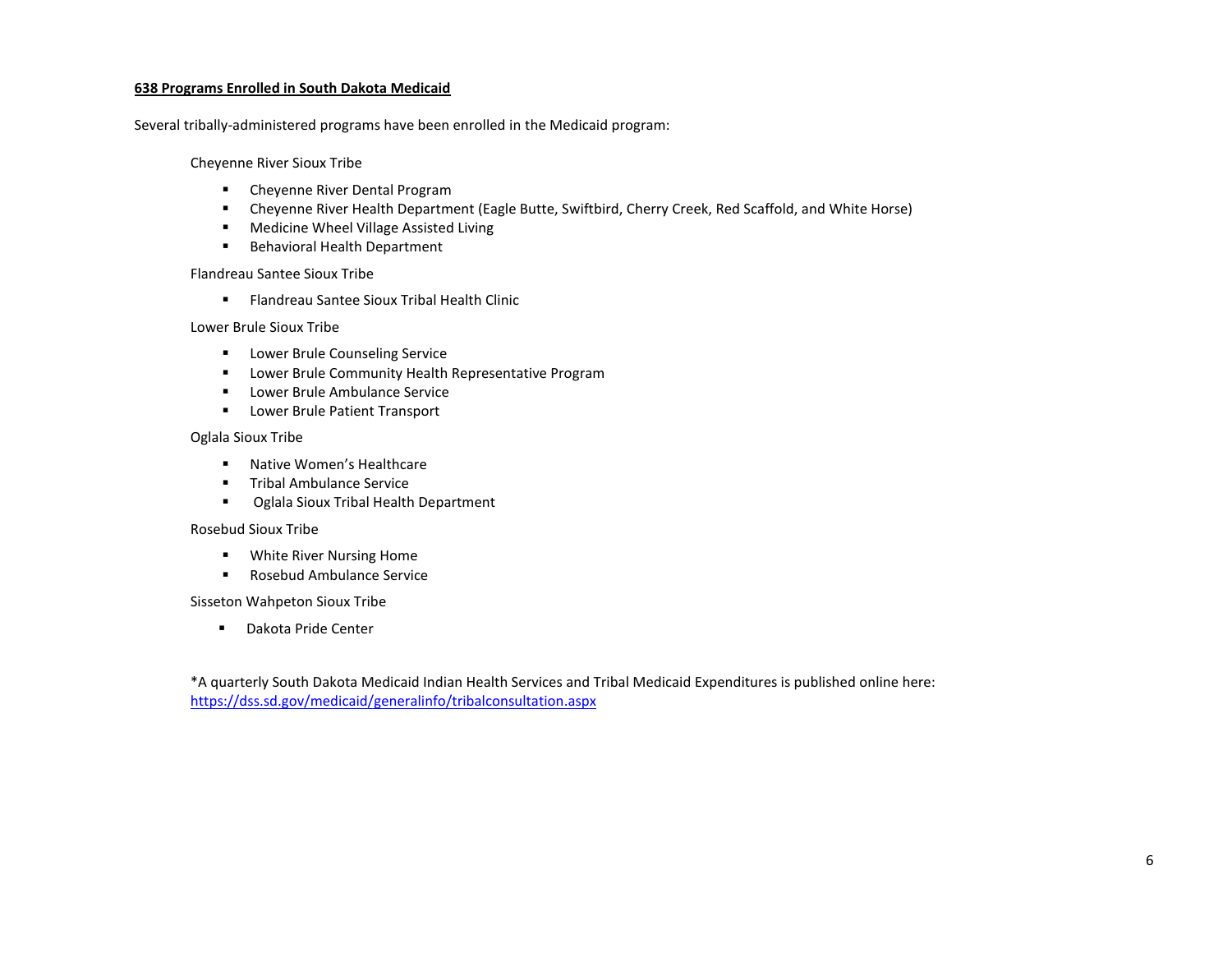### **638 Programs Enrolled in South Dakota Medicaid**

Several tribally-administered programs have been enrolled in the Medicaid program:

Cheyenne River Sioux Tribe

- Cheyenne River Dental Program
- Cheyenne River Health Department (Eagle Butte, Swiftbird, Cherry Creek, Red Scaffold, and White Horse)
- Medicine Wheel Village Assisted Living
- Behavioral Health Department

#### Flandreau Santee Sioux Tribe

■ Flandreau Santee Sioux Tribal Health Clinic

Lower Brule Sioux Tribe

- Lower Brule Counseling Service
- Lower Brule Community Health Representative Program
- Lower Brule Ambulance Service
- Lower Brule Patient Transport

### Oglala Sioux Tribe

- Native Women's Healthcare
- Tribal Ambulance Service
- Oglala Sioux Tribal Health Department

#### Rosebud Sioux Tribe

- White River Nursing Home
- Rosebud Ambulance Service

Sisseton Wahpeton Sioux Tribe

■ Dakota Pride Center

\*A quarterly South Dakota Medicaid Indian Health Services and Tribal Medicaid Expenditures is published online here: <https://dss.sd.gov/medicaid/generalinfo/tribalconsultation.aspx>